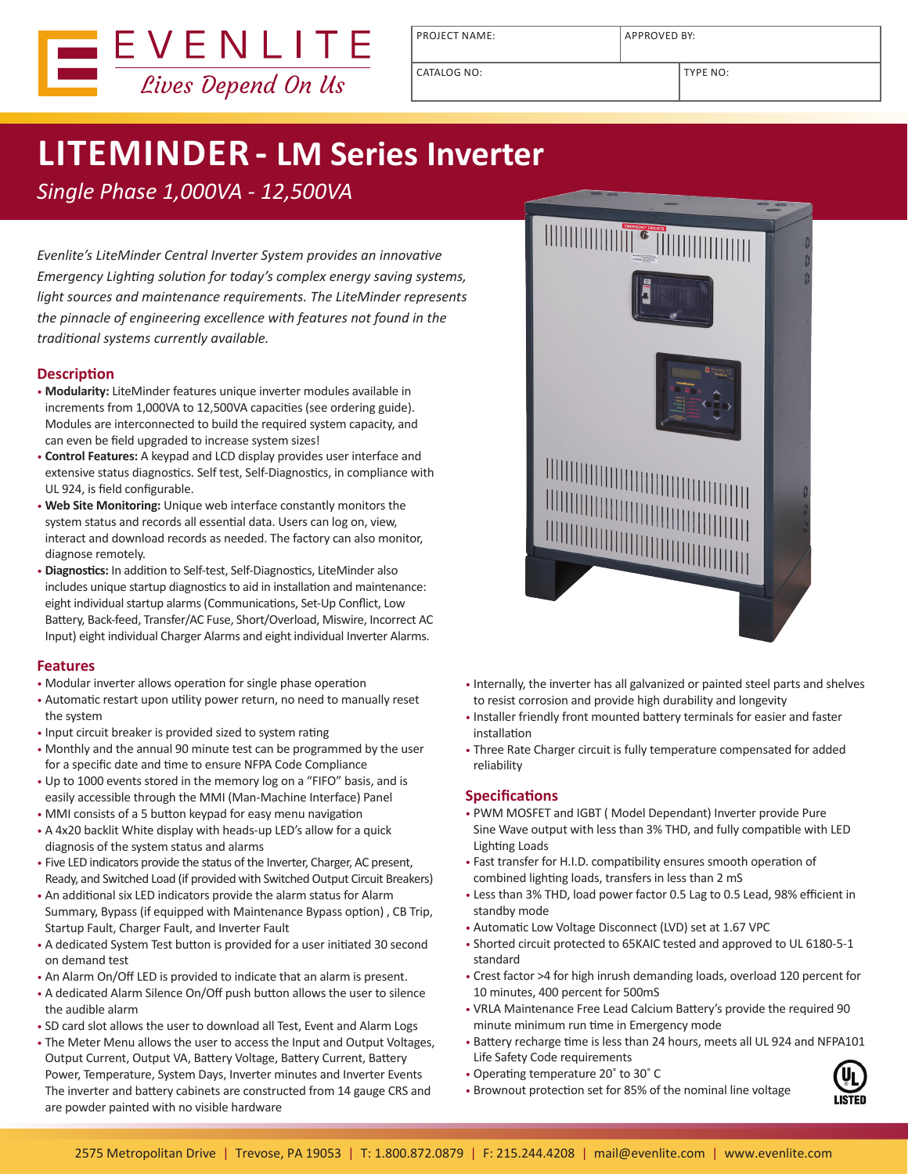

PROJECT NAME: APPROVED BY:

# **LITEMINDER - LM Series Inverter**

*Single Phase 1,000VA - 12,500VA*

*Evenlite's LiteMinder Central Inverter System provides an innovative Emergency Lighting solution for today's complex energy saving systems, light sources and maintenance requirements. The LiteMinder represents the pinnacle of engineering excellence with features not found in the traditional systems currently available.*

### **Description**

- **Modularity:** LiteMinder features unique inverter modules available in increments from 1,000VA to 12,500VA capacities (see ordering guide). Modules are interconnected to build the required system capacity, and can even be field upgraded to increase system sizes!
- **Control Features:** A keypad and LCD display provides user interface and extensive status diagnostics. Self test, Self-Diagnostics, in compliance with UL 924, is field configurable.
- **Web Site Monitoring:** Unique web interface constantly monitors the system status and records all essential data. Users can log on, view, interact and download records as needed. The factory can also monitor, diagnose remotely.
- **Diagnostics:** In addition to Self-test, Self-Diagnostics, LiteMinder also includes unique startup diagnostics to aid in installation and maintenance: eight individual startup alarms (Communications, Set-Up Conflict, Low Battery, Back-feed, Transfer/AC Fuse, Short/Overload, Miswire, Incorrect AC Input) eight individual Charger Alarms and eight individual Inverter Alarms.

#### **Features**

- Modular inverter allows operation for single phase operation
- Automatic restart upon utility power return, no need to manually reset the system
- Input circuit breaker is provided sized to system rating
- Monthly and the annual 90 minute test can be programmed by the user for a specific date and time to ensure NFPA Code Compliance
- Up to 1000 events stored in the memory log on a "FIFO" basis, and is easily accessible through the MMI (Man-Machine Interface) Panel
- MMI consists of a 5 button keypad for easy menu navigation
- A 4x20 backlit White display with heads-up LED's allow for a quick diagnosis of the system status and alarms
- Five LED indicators provide the status of the Inverter, Charger, AC present, Ready, and Switched Load (if provided with Switched Output Circuit Breakers)
- An additional six LED indicators provide the alarm status for Alarm Summary, Bypass (if equipped with Maintenance Bypass option) , CB Trip, Startup Fault, Charger Fault, and Inverter Fault
- A dedicated System Test button is provided for a user initiated 30 second on demand test
- An Alarm On/Off LED is provided to indicate that an alarm is present.
- A dedicated Alarm Silence On/Off push button allows the user to silence the audible alarm
- SD card slot allows the user to download all Test, Event and Alarm Logs
- The Meter Menu allows the user to access the Input and Output Voltages, Output Current, Output VA, Battery Voltage, Battery Current, Battery Power, Temperature, System Days, Inverter minutes and Inverter Events The inverter and battery cabinets are constructed from 14 gauge CRS and are powder painted with no visible hardware



- Internally, the inverter has all galvanized or painted steel parts and shelves to resist corrosion and provide high durability and longevity
- Installer friendly front mounted battery terminals for easier and faster installation
- Three Rate Charger circuit is fully temperature compensated for added reliability

#### **Specifications**

- PWM MOSFET and IGBT ( Model Dependant) Inverter provide Pure Sine Wave output with less than 3% THD, and fully compatible with LED Lighting Loads
- Fast transfer for H.I.D. compatibility ensures smooth operation of combined lighting loads, transfers in less than 2 mS
- Less than 3% THD, load power factor 0.5 Lag to 0.5 Lead, 98% efficient in standby mode
- Automatic Low Voltage Disconnect (LVD) set at 1.67 VPC
- Shorted circuit protected to 65KAIC tested and approved to UL 6180-5-1 standard
- Crest factor >4 for high inrush demanding loads, overload 120 percent for 10 minutes, 400 percent for 500mS
- VRLA Maintenance Free Lead Calcium Battery's provide the required 90 minute minimum run time in Emergency mode
- Battery recharge time is less than 24 hours, meets all UL 924 and NFPA101 Life Safety Code requirements
- Operating temperature 20˚ to 30˚ C